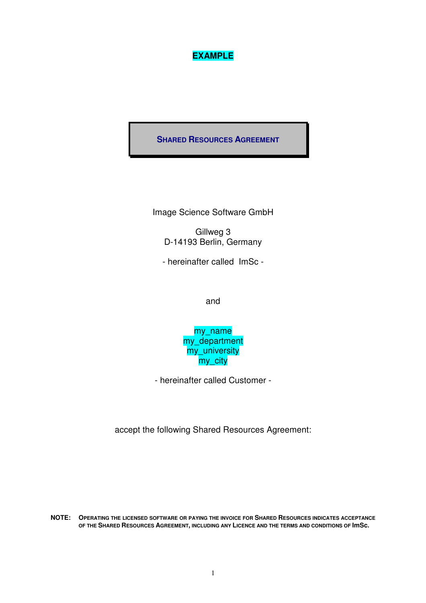

#### **SHARED RESOURCES AGREEMENT**

Image Science Software GmbH

Gillweg 3 D-14193 Berlin, Germany

- hereinafter called ImSc -

and

my\_name my\_department my\_university my\_city

- hereinafter called Customer -

accept the following Shared Resources Agreement:

**NOTE: OPERATING THE LICENSED SOFTWARE OR PAYING THE INVOICE FOR SHARED RESOURCES INDICATES ACCEPTANCE OF THE SHARED RESOURCES AGREEMENT, INCLUDING ANY LICENCE AND THE TERMS AND CONDITIONS OF ImSc.**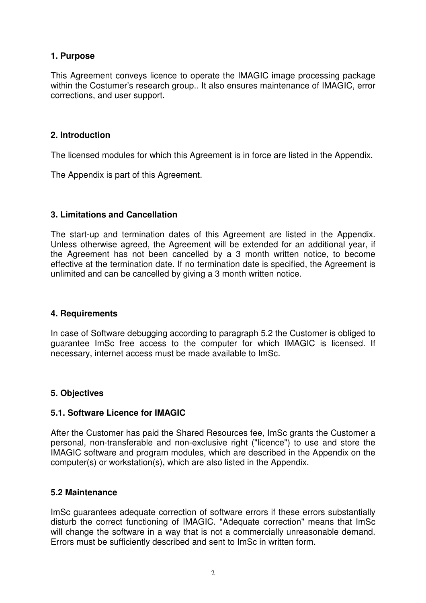# **1. Purpose**

This Agreement conveys licence to operate the IMAGIC image processing package within the Costumer's research group.. It also ensures maintenance of IMAGIC, error corrections, and user support.

### **2. Introduction**

The licensed modules for which this Agreement is in force are listed in the Appendix.

The Appendix is part of this Agreement.

### **3. Limitations and Cancellation**

The start-up and termination dates of this Agreement are listed in the Appendix. Unless otherwise agreed, the Agreement will be extended for an additional year, if the Agreement has not been cancelled by a 3 month written notice, to become effective at the termination date. If no termination date is specified, the Agreement is unlimited and can be cancelled by giving a 3 month written notice.

### **4. Requirements**

In case of Software debugging according to paragraph 5.2 the Customer is obliged to guarantee ImSc free access to the computer for which IMAGIC is licensed. If necessary, internet access must be made available to ImSc.

### **5. Objectives**

# **5.1. Software Licence for IMAGIC**

After the Customer has paid the Shared Resources fee, ImSc grants the Customer a personal, non-transferable and non-exclusive right ("licence") to use and store the IMAGIC software and program modules, which are described in the Appendix on the computer(s) or workstation(s), which are also listed in the Appendix.

### **5.2 Maintenance**

ImSc guarantees adequate correction of software errors if these errors substantially disturb the correct functioning of IMAGIC. "Adequate correction" means that ImSc will change the software in a way that is not a commercially unreasonable demand. Errors must be sufficiently described and sent to ImSc in written form.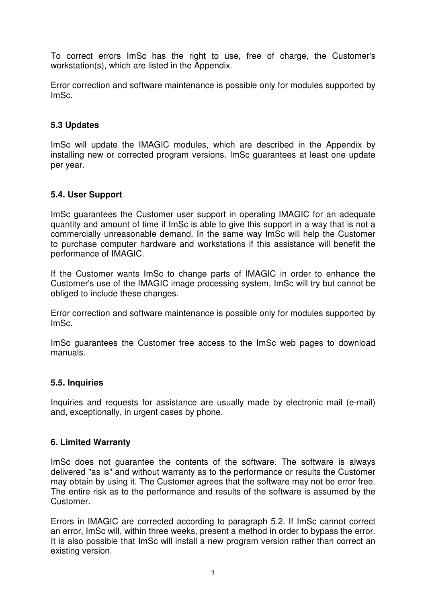To correct errors ImSc has the right to use, free of charge, the Customer's workstation(s), which are listed in the Appendix.

Error correction and software maintenance is possible only for modules supported by ImSc.

# **5.3 Updates**

ImSc will update the IMAGIC modules, which are described in the Appendix by installing new or corrected program versions. ImSc guarantees at least one update per year.

# **5.4. User Support**

ImSc guarantees the Customer user support in operating IMAGIC for an adequate quantity and amount of time if ImSc is able to give this support in a way that is not a commercially unreasonable demand. In the same way ImSc will help the Customer to purchase computer hardware and workstations if this assistance will benefit the performance of IMAGIC.

If the Customer wants ImSc to change parts of IMAGIC in order to enhance the Customer's use of the IMAGIC image processing system, ImSc will try but cannot be obliged to include these changes.

Error correction and software maintenance is possible only for modules supported by ImSc.

ImSc guarantees the Customer free access to the ImSc web pages to download manuals.

# **5.5. Inquiries**

Inquiries and requests for assistance are usually made by electronic mail (e-mail) and, exceptionally, in urgent cases by phone.

# **6. Limited Warranty**

ImSc does not guarantee the contents of the software. The software is always delivered "as is" and without warranty as to the performance or results the Customer may obtain by using it. The Customer agrees that the software may not be error free. The entire risk as to the performance and results of the software is assumed by the Customer.

Errors in IMAGIC are corrected according to paragraph 5.2. If ImSc cannot correct an error, ImSc will, within three weeks, present a method in order to bypass the error. It is also possible that ImSc will install a new program version rather than correct an existing version.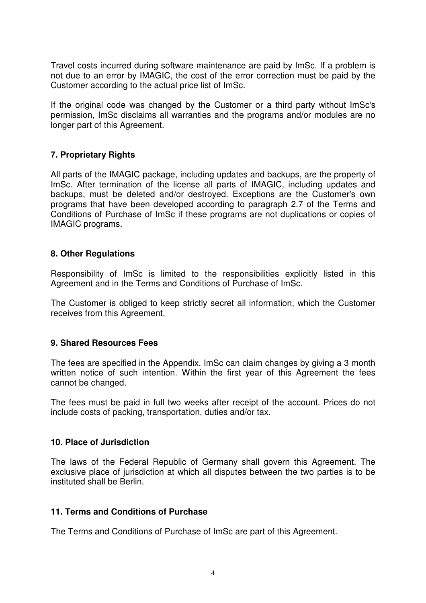Travel costs incurred during software maintenance are paid by ImSc. If a problem is not due to an error by IMAGIC, the cost of the error correction must be paid by the Customer according to the actual price list of ImSc.

If the original code was changed by the Customer or a third party without ImSc's permission, ImSc disclaims all warranties and the programs and/or modules are no longer part of this Agreement.

### **7. Proprietary Rights**

All parts of the IMAGIC package, including updates and backups, are the property of ImSc. After termination of the license all parts of IMAGIC, including updates and backups, must be deleted and/or destroyed. Exceptions are the Customer's own programs that have been developed according to paragraph 2.7 of the Terms and Conditions of Purchase of ImSc if these programs are not duplications or copies of IMAGIC programs.

### **8. Other Regulations**

Responsibility of ImSc is limited to the responsibilities explicitly listed in this Agreement and in the Terms and Conditions of Purchase of ImSc.

The Customer is obliged to keep strictly secret all information, which the Customer receives from this Agreement.

### **9. Shared Resources Fees**

The fees are specified in the Appendix. ImSc can claim changes by giving a 3 month written notice of such intention. Within the first year of this Agreement the fees cannot be changed.

The fees must be paid in full two weeks after receipt of the account. Prices do not include costs of packing, transportation, duties and/or tax.

### **10. Place of Jurisdiction**

The laws of the Federal Republic of Germany shall govern this Agreement. The exclusive place of jurisdiction at which all disputes between the two parties is to be instituted shall be Berlin.

### **11. Terms and Conditions of Purchase**

The Terms and Conditions of Purchase of ImSc are part of this Agreement.